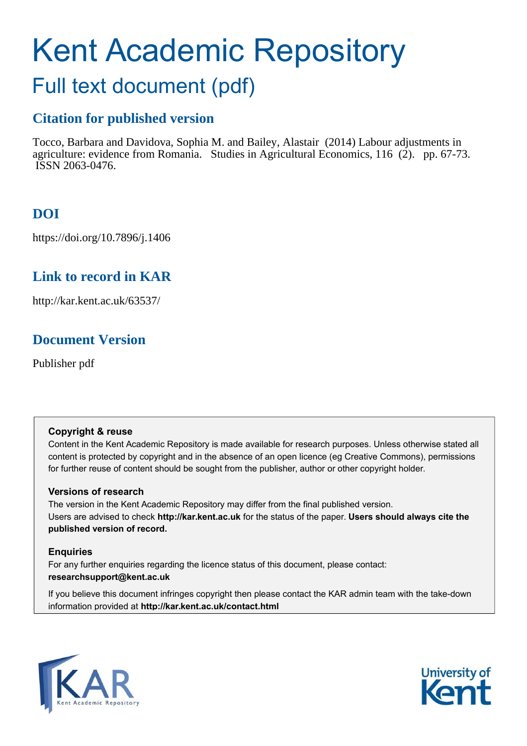# Kent Academic Repository

## Full text document (pdf)

## **Citation for published version**

Tocco, Barbara and Davidova, Sophia M. and Bailey, Alastair (2014) Labour adjustments in agriculture: evidence from Romania. Studies in Agricultural Economics, 116 (2). pp. 67-73. ISSN 2063-0476.

## **DOI**

https://doi.org/10.7896/j.1406

## **Link to record in KAR**

http://kar.kent.ac.uk/63537/

## **Document Version**

Publisher pdf

#### **Copyright & reuse**

Content in the Kent Academic Repository is made available for research purposes. Unless otherwise stated all content is protected by copyright and in the absence of an open licence (eg Creative Commons), permissions for further reuse of content should be sought from the publisher, author or other copyright holder.

#### **Versions of research**

The version in the Kent Academic Repository may differ from the final published version. Users are advised to check **http://kar.kent.ac.uk** for the status of the paper. **Users should always cite the published version of record.**

#### **Enquiries**

For any further enquiries regarding the licence status of this document, please contact: **researchsupport@kent.ac.uk**

If you believe this document infringes copyright then please contact the KAR admin team with the take-down information provided at **http://kar.kent.ac.uk/contact.html**



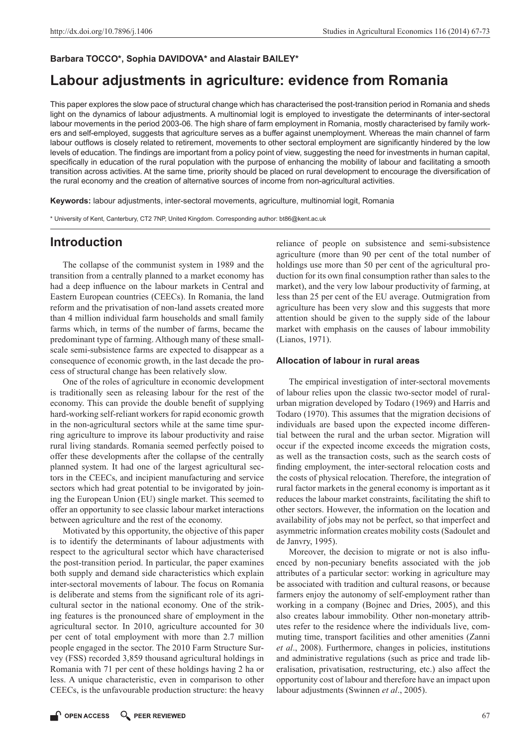#### **Barbara TOCCO\*, Sophia DAVIDOVA\* and Alastair BAILEY\***

## **Labour adjustments in agriculture: evidence from Romania**

This paper explores the slow pace of structural change which has characterised the post-transition period in Romania and sheds light on the dynamics of labour adjustments. A multinomial logit is employed to investigate the determinants of inter-sectoral labour movements in the period 2003-06. The high share of farm employment in Romania, mostly characterised by family workers and self-employed, suggests that agriculture serves as a buffer against unemployment. Whereas the main channel of farm labour outflows is closely related to retirement, movements to other sectoral employment are significantly hindered by the low levels of education. The findings are important from a policy point of view, suggesting the need for investments in human capital, specifically in education of the rural population with the purpose of enhancing the mobility of labour and facilitating a smooth transition across activities. At the same time, priority should be placed on rural development to encourage the diversification of the rural economy and the creation of alternative sources of income from non-agricultural activities.

**Keywords:** labour adjustments, inter-sectoral movements, agriculture, multinomial logit, Romania

\* University of Kent, Canterbury, CT2 7NP, United Kingdom. Corresponding author: bt86@kent.ac.uk

#### **Introduction**

The collapse of the communist system in 1989 and the transition from a centrally planned to a market economy has had a deep influence on the labour markets in Central and Eastern European countries (CEECs). In Romania, the land reform and the privatisation of non-land assets created more than 4 million individual farm households and small family farms which, in terms of the number of farms, became the predominant type of farming. Although many of these smallscale semi-subsistence farms are expected to disappear as a consequence of economic growth, in the last decade the process of structural change has been relatively slow.

One of the roles of agriculture in economic development is traditionally seen as releasing labour for the rest of the economy. This can provide the double benefit of supplying hard-working self-reliant workers for rapid economic growth in the non-agricultural sectors while at the same time spurring agriculture to improve its labour productivity and raise rural living standards. Romania seemed perfectly poised to offer these developments after the collapse of the centrally planned system. It had one of the largest agricultural sectors in the CEECs, and incipient manufacturing and service sectors which had great potential to be invigorated by joining the European Union (EU) single market. This seemed to offer an opportunity to see classic labour market interactions between agriculture and the rest of the economy.

Motivated by this opportunity, the objective of this paper is to identify the determinants of labour adjustments with respect to the agricultural sector which have characterised the post-transition period. In particular, the paper examines both supply and demand side characteristics which explain inter-sectoral movements of labour. The focus on Romania is deliberate and stems from the significant role of its agricultural sector in the national economy. One of the striking features is the pronounced share of employment in the agricultural sector. In 2010, agriculture accounted for 30 per cent of total employment with more than 2.7 million people engaged in the sector. The 2010 Farm Structure Survey (FSS) recorded 3,859 thousand agricultural holdings in Romania with 71 per cent of these holdings having 2 ha or less. A unique characteristic, even in comparison to other CEECs, is the unfavourable production structure: the heavy

reliance of people on subsistence and semi-subsistence agriculture (more than 90 per cent of the total number of holdings use more than 50 per cent of the agricultural production for its own final consumption rather than sales to the market), and the very low labour productivity of farming, at less than 25 per cent of the EU average. Outmigration from agriculture has been very slow and this suggests that more attention should be given to the supply side of the labour market with emphasis on the causes of labour immobility (Lianos, 1971).

#### **Allocation of labour in rural areas**

The empirical investigation of inter-sectoral movements of labour relies upon the classic two-sector model of ruralurban migration developed by Todaro (1969) and Harris and Todaro (1970). This assumes that the migration decisions of individuals are based upon the expected income differential between the rural and the urban sector. Migration will occur if the expected income exceeds the migration costs, as well as the transaction costs, such as the search costs of finding employment, the inter-sectoral relocation costs and the costs of physical relocation. Therefore, the integration of rural factor markets in the general economy is important as it reduces the labour market constraints, facilitating the shift to other sectors. However, the information on the location and availability of jobs may not be perfect, so that imperfect and asymmetric information creates mobility costs (Sadoulet and de Janvry, 1995).

Moreover, the decision to migrate or not is also influenced by non-pecuniary benefits associated with the job attributes of a particular sector: working in agriculture may be associated with tradition and cultural reasons, or because farmers enjoy the autonomy of self-employment rather than working in a company (Bojnec and Dries, 2005), and this also creates labour immobility. Other non-monetary attributes refer to the residence where the individuals live, commuting time, transport facilities and other amenities (Zanni *et al*., 2008). Furthermore, changes in policies, institutions and administrative regulations (such as price and trade liberalisation, privatisation, restructuring, etc.) also affect the opportunity cost of labour and therefore have an impact upon labour adjustments (Swinnen *et al*., 2005).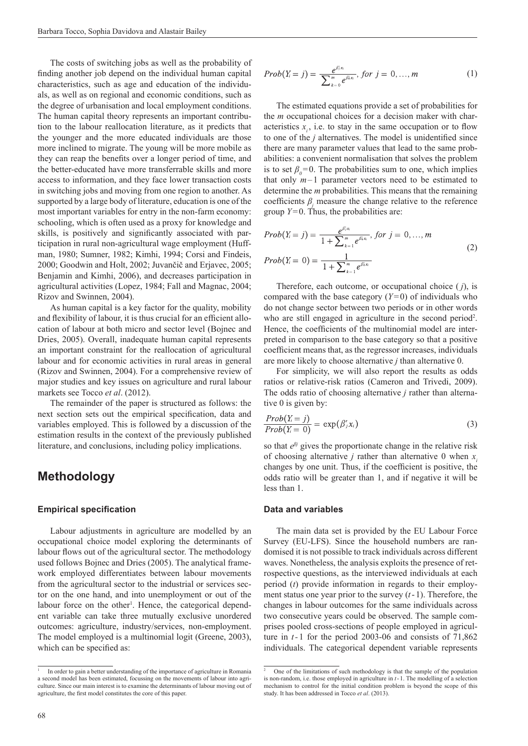The costs of switching jobs as well as the probability of finding another job depend on the individual human capital characteristics, such as age and education of the individuals, as well as on regional and economic conditions, such as the degree of urbanisation and local employment conditions. The human capital theory represents an important contribution to the labour reallocation literature, as it predicts that the younger and the more educated individuals are those more inclined to migrate. The young will be more mobile as they can reap the benefits over a longer period of time, and the better-educated have more transferrable skills and more access to information, and they face lower transaction costs in switching jobs and moving from one region to another. As supported by a large body of literature, education is one of the most important variables for entry in the non-farm economy: schooling, which is often used as a proxy for knowledge and skills, is positively and significantly associated with participation in rural non-agricultural wage employment (Huffman, 1980; Sumner, 1982; Kimhi, 1994; Corsi and Findeis, 2000; Goodwin and Holt, 2002; Juvančič and Erjavec, 2005; Benjamin and Kimhi, 2006), and decreases participation in agricultural activities (Lopez, 1984; Fall and Magnac, 2004; Rizov and Swinnen, 2004).

As human capital is a key factor for the quality, mobility and flexibility of labour, it is thus crucial for an efficient allocation of labour at both micro and sector level (Bojnec and Dries, 2005). Overall, inadequate human capital represents an important constraint for the reallocation of agricultural labour and for economic activities in rural areas in general (Rizov and Swinnen, 2004). For a comprehensive review of major studies and key issues on agriculture and rural labour markets see Tocco *et al*. (2012).

The remainder of the paper is structured as follows: the next section sets out the empirical specification, data and variables employed. This is followed by a discussion of the estimation results in the context of the previously published literature, and conclusions, including policy implications.

#### **Methodology**

#### **Empirical specification**

Labour adjustments in agriculture are modelled by an occupational choice model exploring the determinants of labour flows out of the agricultural sector. The methodology used follows Bojnec and Dries (2005). The analytical framework employed differentiates between labour movements from the agricultural sector to the industrial or services sector on the one hand, and into unemployment or out of the labour force on the other<sup>1</sup>. Hence, the categorical dependent variable can take three mutually exclusive unordered outcomes: agriculture, industry/services, non-employment. The model employed is a multinomial logit (Greene, 2003), which can be specified as:

$$
Prob(Y_i = j) = \frac{e^{\beta j x_i}}{\sum_{k=0}^{m} e^{\beta k x_i}}, \text{ for } j = 0, ..., m
$$
 (1)

The estimated equations provide a set of probabilities for the *m* occupational choices for a decision maker with characteristics  $\hat{x}_i$ , i.e. to stay in the same occupation or to flow to one of the  $j$  alternatives. The model is unidentified since there are many parameter values that lead to the same probabilities: a convenient normalisation that solves the problem is to set  $\beta_0 = 0$ . The probabilities sum to one, which implies that only  $m-1$  parameter vectors need to be estimated to determine the *m* probabilities. This means that the remaining coefficients  $\beta_j$  measure the change relative to the reference group  $Y=0$ . Thus, the probabilities are:

$$
Prob(Y_i = j) = \frac{e^{\beta_j x_i}}{1 + \sum_{k=1}^{m} e^{\beta_k x_k}}, \text{ for } j = 0, ..., m
$$
\n
$$
Prob(Y_i = 0) = \frac{1}{1 + \sum_{k=1}^{m} e^{\beta_k x_k}} \tag{2}
$$

Therefore, each outcome, or occupational choice ( *j*), is compared with the base category  $(Y=0)$  of individuals who do not change sector between two periods or in other words who are still engaged in agriculture in the second period<sup>2</sup>. Hence, the coefficients of the multinomial model are interpreted in comparison to the base category so that a positive coefficient means that, as the regressor increases, individuals are more likely to choose alternative *j* than alternative 0.

For simplicity, we will also report the results as odds ratios or relative-risk ratios (Cameron and Trivedi, 2009). The odds ratio of choosing alternative *j* rather than alternative 0 is given by:

$$
\frac{Prob(Y_i = j)}{Prob(Y_i = 0)} = \exp(\beta'_j x_i)
$$
\n(3)

so that  $e^{\beta j}$  gives the proportionate change in the relative risk of choosing alternative *j* rather than alternative 0 when *x i* changes by one unit. Thus, if the coefficient is positive, the odds ratio will be greater than 1, and if negative it will be less than 1.

#### **Data and variables**

The main data set is provided by the EU Labour Force Survey (EU-LFS). Since the household numbers are randomised it is not possible to track individuals across different waves. Nonetheless, the analysis exploits the presence of retrospective questions, as the interviewed individuals at each period (*t*) provide information in regards to their employment status one year prior to the survey  $(t-1)$ . Therefore, the changes in labour outcomes for the same individuals across two consecutive years could be observed. The sample comprises pooled cross-sections of people employed in agriculture in *t*-1 for the period 2003-06 and consists of 71,862 individuals. The categorical dependent variable represents

<sup>1</sup>In order to gain a better understanding of the importance of agriculture in Romania a second model has been estimated, focussing on the movements of labour into agriculture. Since our main interest is to examine the determinants of labour moving out of agriculture, the first model constitutes the core of this paper.

<sup>2</sup>One of the limitations of such methodology is that the sample of the population is non-random, i.e. those employed in agriculture in *t* -1. The modelling of a selection mechanism to control for the initial condition problem is beyond the scope of this study. It has been addressed in Tocco *et al*. (2013).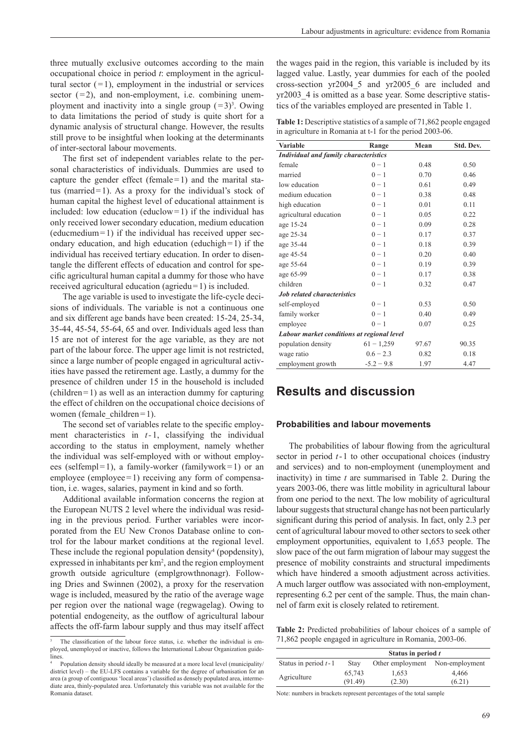three mutually exclusive outcomes according to the main occupational choice in period *t*: employment in the agricultural sector  $(=1)$ , employment in the industrial or services sector  $(=2)$ , and non-employment, i.e. combining unemployment and inactivity into a single group  $(=3)^3$ . Owing to data limitations the period of study is quite short for a dynamic analysis of structural change. However, the results still prove to be insightful when looking at the determinants of inter-sectoral labour movements.

The first set of independent variables relate to the personal characteristics of individuals. Dummies are used to capture the gender effect (female  $= 1$ ) and the marital status (married = 1). As a proxy for the individual's stock of human capital the highest level of educational attainment is included: low education (educlow = 1) if the individual has only received lower secondary education, medium education  $(educmedium = 1)$  if the individual has received upper secondary education, and high education (educhigh = 1) if the individual has received tertiary education. In order to disentangle the different effects of education and control for specific agricultural human capital a dummy for those who have received agricultural education (agriedu= $1$ ) is included.

The age variable is used to investigate the life-cycle decisions of individuals. The variable is not a continuous one and six different age bands have been created: 15-24, 25-34, 35-44, 45-54, 55-64, 65 and over. Individuals aged less than 15 are not of interest for the age variable, as they are not part of the labour force. The upper age limit is not restricted, since a large number of people engaged in agricultural activities have passed the retirement age. Lastly, a dummy for the presence of children under 15 in the household is included  $\text{(children=1)}$  as well as an interaction dummy for capturing the effect of children on the occupational choice decisions of women (female children = 1).

The second set of variables relate to the specific employment characteristics in *t*-1, classifying the individual according to the status in employment, namely whether the individual was self-employed with or without employees (selfempl=1), a family-worker (familywork=1) or an employee (employee  $= 1$ ) receiving any form of compensation, i.e. wages, salaries, payment in kind and so forth.

Additional available information concerns the region at the European NUTS 2 level where the individual was residing in the previous period. Further variables were incorporated from the EU New Cronos Database online to control for the labour market conditions at the regional level. These include the regional population density<sup>4</sup> (popdensity), expressed in inhabitants per  $km^2$ , and the region employment growth outside agriculture (emplgrowthnonagr). Following Dries and Swinnen (2002), a proxy for the reservation wage is included, measured by the ratio of the average wage per region over the national wage (regwagelag). Owing to potential endogeneity, as the outflow of agricultural labour affects the off-farm labour supply and thus may itself affect

the wages paid in the region, this variable is included by its lagged value. Lastly, year dummies for each of the pooled cross-section yr2004\_5 and yr2005\_6 are included and yr2003 4 is omitted as a base year. Some descriptive statistics of the variables employed are presented in Table 1.

**Table 1:** Descriptive statistics of a sample of 71,862 people engaged in agriculture in Romania at t-1 for the period 2003-06.

| <b>Variable</b>                              | Range        | Mean  | Std. Dev. |  |  |  |
|----------------------------------------------|--------------|-------|-----------|--|--|--|
| <b>Individual and family characteristics</b> |              |       |           |  |  |  |
| female                                       | $0 - 1$      | 0.48  | 0.50      |  |  |  |
| married                                      | $0 - 1$      | 0.70  | 0.46      |  |  |  |
| low education                                | $0 - 1$      | 0.61  | 0.49      |  |  |  |
| medium education                             | $0 - 1$      | 0.38  | 0.48      |  |  |  |
| high education                               | $0 - 1$      | 0.01  | 0.11      |  |  |  |
| agricultural education                       | $0 - 1$      | 0.05  | 0.22      |  |  |  |
| age 15-24                                    | $0 - 1$      | 0.09  | 0.28      |  |  |  |
| age 25-34                                    | $0 - 1$      | 0.17  | 0.37      |  |  |  |
| age 35-44                                    | $0 - 1$      | 0.18  | 0.39      |  |  |  |
| age 45-54                                    | $0 - 1$      | 0.20  | 0.40      |  |  |  |
| age 55-64                                    | $0 - 1$      | 0.19  | 0.39      |  |  |  |
| age 65-99                                    | $0 - 1$      | 0.17  | 0.38      |  |  |  |
| children                                     | $0 - 1$      | 0.32  | 0.47      |  |  |  |
| <b>Job related characteristics</b>           |              |       |           |  |  |  |
| self-employed                                | $0 - 1$      | 0.53  | 0.50      |  |  |  |
| family worker                                | $0 - 1$      | 0.40  | 0.49      |  |  |  |
| employee                                     | $0 - 1$      | 0.07  | 0.25      |  |  |  |
| Labour market conditions at regional level   |              |       |           |  |  |  |
| population density                           | $61 - 1,259$ | 97.67 | 90.35     |  |  |  |
| wage ratio                                   | $0.6 - 2.3$  | 0.82  | 0.18      |  |  |  |
| employment growth                            | $-5.2 - 9.8$ | 1.97  | 4.47      |  |  |  |

### **Results and discussion**

#### **Probabilities and labour movements**

The probabilities of labour flowing from the agricultural sector in period  $t-1$  to other occupational choices (industry and services) and to non-employment (unemployment and inactivity) in time *t* are summarised in Table 2. During the years 2003-06, there was little mobility in agricultural labour from one period to the next. The low mobility of agricultural labour suggests that structural change has not been particularly significant during this period of analysis. In fact, only 2.3 per cent of agricultural labour moved to other sectors to seek other employment opportunities, equivalent to 1,653 people. The slow pace of the out farm migration of labour may suggest the presence of mobility constraints and structural impediments which have hindered a smooth adjustment across activities. A much larger outflow was associated with non-employment, representing 6.2 per cent of the sample. Thus, the main channel of farm exit is closely related to retirement.

**Table 2:** Predicted probabilities of labour choices of a sample of 71,862 people engaged in agriculture in Romania, 2003-06.

|                        | Status in period t |                  |                 |  |
|------------------------|--------------------|------------------|-----------------|--|
| Status in period $t-1$ | <b>Stay</b>        | Other employment | Non-employment  |  |
| Agriculture            | 65,743<br>(91.49)  | 1,653<br>(2.30)  | 4,466<br>(6.21) |  |

Note: numbers in brackets represent percentages of the total sample

The classification of the labour force status, i.e. whether the individual is employed, unemployed or inactive, follows the International Labour Organization guidelines.

<sup>4</sup>Population density should ideally be measured at a more local level (municipality/ district level) – the EU-LFS contains a variable for the degree of urbanisation for an area (a group of contiguous 'local areas') classified as densely populated area, intermediate area, thinly-populated area. Unfortunately this variable was not available for the Romania dataset.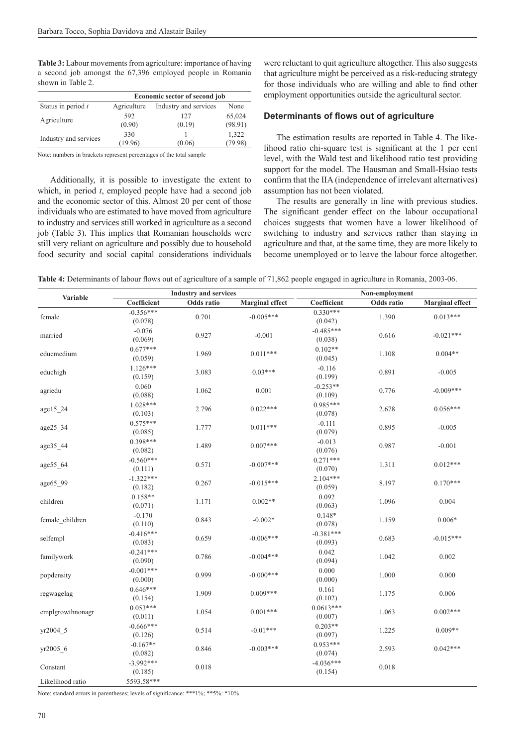**Table 3:** Labour movements from agriculture: importance of having a second job amongst the 67,396 employed people in Romania shown in Table 2.

|                       | Economic sector of second job |                       |         |  |
|-----------------------|-------------------------------|-----------------------|---------|--|
| Status in period $t$  | Agriculture                   | Industry and services | None    |  |
| Agriculture           | 592                           | 127                   | 65,024  |  |
|                       | (0.90)                        | (0.19)                | (98.91) |  |
| Industry and services | 330                           |                       | 1,322   |  |
|                       | (19.96)                       | (0.06)                | (79.98) |  |

Note: numbers in brackets represent percentages of the total sample

Additionally, it is possible to investigate the extent to which, in period *t*, employed people have had a second job and the economic sector of this. Almost 20 per cent of those individuals who are estimated to have moved from agriculture to industry and services still worked in agriculture as a second job (Table 3). This implies that Romanian households were still very reliant on agriculture and possibly due to household food security and social capital considerations individuals were reluctant to quit agriculture altogether. This also suggests that agriculture might be perceived as a risk-reducing strategy for those individuals who are willing and able to find other employment opportunities outside the agricultural sector.

#### **Determinants of fl ows out of agriculture**

The estimation results are reported in Table 4. The likelihood ratio chi-square test is significant at the 1 per cent level, with the Wald test and likelihood ratio test providing support for the model. The Hausman and Small-Hsiao tests confirm that the IIA (independence of irrelevant alternatives) assumption has not been violated.

The results are generally in line with previous studies. The significant gender effect on the labour occupational choices suggests that women have a lower likelihood of switching to industry and services rather than staying in agriculture and that, at the same time, they are more likely to become unemployed or to leave the labour force altogether.

Table 4: Determinants of labour flows out of agriculture of a sample of 71,862 people engaged in agriculture in Romania, 2003-06.

| <b>Variable</b>  | <b>Industry and services</b> |            | Non-employment         |                        |            |                        |
|------------------|------------------------------|------------|------------------------|------------------------|------------|------------------------|
|                  | Coefficient                  | Odds ratio | <b>Marginal effect</b> | Coefficient            | Odds ratio | <b>Marginal effect</b> |
| female           | $-0.356***$<br>(0.078)       | 0.701      | $-0.005***$            | $0.330***$<br>(0.042)  | 1.390      | $0.013***$             |
| married          | $-0.076$<br>(0.069)          | 0.927      | $-0.001$               | $-0.485***$<br>(0.038) | 0.616      | $-0.021***$            |
| educmedium       | $0.677***$<br>(0.059)        | 1.969      | $0.011***$             | $0.102**$<br>(0.045)   | 1.108      | $0.004**$              |
| educhigh         | $1.126***$<br>(0.159)        | 3.083      | $0.03***$              | $-0.116$<br>(0.199)    | 0.891      | $-0.005$               |
| agriedu          | 0.060<br>(0.088)             | 1.062      | 0.001                  | $-0.253**$<br>(0.109)  | 0.776      | $-0.009***$            |
| age15 24         | 1.028***<br>(0.103)          | 2.796      | $0.022***$             | $0.985***$<br>(0.078)  | 2.678      | $0.056***$             |
| age25_34         | $0.575***$<br>(0.085)        | 1.777      | $0.011***$             | $-0.111$<br>(0.079)    | 0.895      | $-0.005$               |
| age35_44         | $0.398***$<br>(0.082)        | 1.489      | $0.007***$             | $-0.013$<br>(0.076)    | 0.987      | $-0.001$               |
| age55_64         | $-0.560***$<br>(0.111)       | 0.571      | $-0.007***$            | $0.271***$<br>(0.070)  | 1.311      | $0.012***$             |
| age65_99         | $-1.322***$<br>(0.182)       | 0.267      | $-0.015***$            | $2.104***$<br>(0.059)  | 8.197      | $0.170***$             |
| children         | $0.158**$<br>(0.071)         | 1.171      | $0.002**$              | 0.092<br>(0.063)       | 1.096      | 0.004                  |
| female_children  | $-0.170$<br>(0.110)          | 0.843      | $-0.002*$              | $0.148*$<br>(0.078)    | 1.159      | $0.006*$               |
| selfempl         | $-0.416***$<br>(0.083)       | 0.659      | $-0.006***$            | $-0.381***$<br>(0.093) | 0.683      | $-0.015***$            |
| familywork       | $-0.241***$<br>(0.090)       | 0.786      | $-0.004***$            | 0.042<br>(0.094)       | 1.042      | 0.002                  |
| popdensity       | $-0.001***$<br>(0.000)       | 0.999      | $-0.000$ ***           | 0.000<br>(0.000)       | 1.000      | 0.000                  |
| regwagelag       | $0.646***$<br>(0.154)        | 1.909      | $0.009***$             | 0.161<br>(0.102)       | 1.175      | 0.006                  |
| emplgrowthnonagr | $0.053***$<br>(0.011)        | 1.054      | $0.001***$             | $0.0613***$<br>(0.007) | 1.063      | $0.002***$             |
| yr2004 5         | $-0.666***$<br>(0.126)       | 0.514      | $-0.01***$             | $0.203**$<br>(0.097)   | 1.225      | $0.009**$              |
| yr2005_6         | $-0.167**$<br>(0.082)        | 0.846      | $-0.003***$            | $0.953***$<br>(0.074)  | 2.593      | $0.042***$             |
| Constant         | $-3.992***$<br>(0.185)       | 0.018      |                        | $-4.036***$<br>(0.154) | 0.018      |                        |
| Likelihood ratio | 5593.58***                   |            |                        |                        |            |                        |

Note: standard errors in parentheses; levels of significance: \*\*\*1%; \*\*5%: \*10%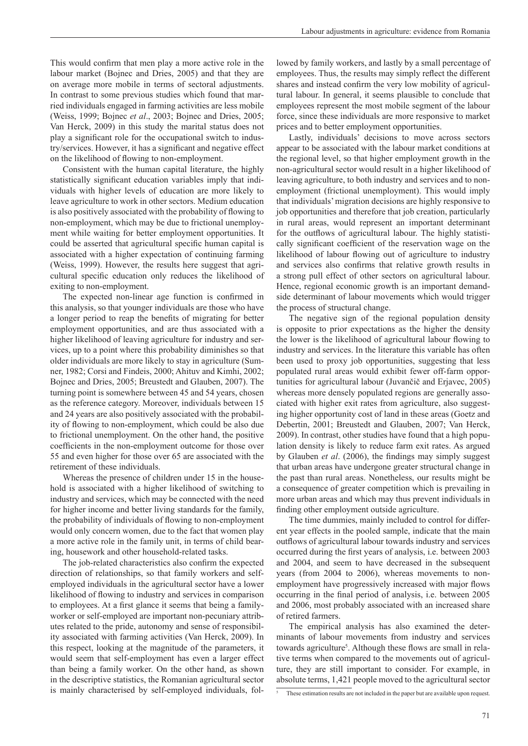This would confirm that men play a more active role in the labour market (Bojnec and Dries, 2005) and that they are on average more mobile in terms of sectoral adjustments. In contrast to some previous studies which found that married individuals engaged in farming activities are less mobile (Weiss, 1999; Bojnec *et al*., 2003; Bojnec and Dries, 2005; Van Herck, 2009) in this study the marital status does not play a significant role for the occupational switch to industry/services. However, it has a significant and negative effect on the likelihood of flowing to non-employment.

Consistent with the human capital literature, the highly statistically significant education variables imply that individuals with higher levels of education are more likely to leave agriculture to work in other sectors. Medium education is also positively associated with the probability of flowing to non-employment, which may be due to frictional unemployment while waiting for better employment opportunities. It could be asserted that agricultural specific human capital is associated with a higher expectation of continuing farming (Weiss, 1999). However, the results here suggest that agricultural specific education only reduces the likelihood of exiting to non-employment.

The expected non-linear age function is confirmed in this analysis, so that younger individuals are those who have a longer period to reap the benefits of migrating for better employment opportunities, and are thus associated with a higher likelihood of leaving agriculture for industry and services, up to a point where this probability diminishes so that older individuals are more likely to stay in agriculture (Sumner, 1982; Corsi and Findeis, 2000; Ahituv and Kimhi, 2002; Bojnec and Dries, 2005; Breustedt and Glauben, 2007). The turning point is somewhere between 45 and 54 years, chosen as the reference category. Moreover, individuals between 15 and 24 years are also positively associated with the probability of flowing to non-employment, which could be also due to frictional unemployment. On the other hand, the positive coefficients in the non-employment outcome for those over 55 and even higher for those over 65 are associated with the retirement of these individuals.

Whereas the presence of children under 15 in the household is associated with a higher likelihood of switching to industry and services, which may be connected with the need for higher income and better living standards for the family, the probability of individuals of flowing to non-employment would only concern women, due to the fact that women play a more active role in the family unit, in terms of child bearing, housework and other household-related tasks.

The job-related characteristics also confirm the expected direction of relationships, so that family workers and selfemployed individuals in the agricultural sector have a lower likelihood of flowing to industry and services in comparison to employees. At a first glance it seems that being a familyworker or self-employed are important non-pecuniary attributes related to the pride, autonomy and sense of responsibility associated with farming activities (Van Herck, 2009). In this respect, looking at the magnitude of the parameters, it would seem that self-employment has even a larger effect than being a family worker. On the other hand, as shown in the descriptive statistics, the Romanian agricultural sector is mainly characterised by self-employed individuals, followed by family workers, and lastly by a small percentage of employees. Thus, the results may simply reflect the different shares and instead confirm the very low mobility of agricultural labour. In general, it seems plausible to conclude that employees represent the most mobile segment of the labour force, since these individuals are more responsive to market prices and to better employment opportunities.

Lastly, individuals' decisions to move across sectors appear to be associated with the labour market conditions at the regional level, so that higher employment growth in the non-agricultural sector would result in a higher likelihood of leaving agriculture, to both industry and services and to nonemployment (frictional unemployment). This would imply that individuals' migration decisions are highly responsive to job opportunities and therefore that job creation, particularly in rural areas, would represent an important determinant for the outflows of agricultural labour. The highly statistically significant coefficient of the reservation wage on the likelihood of labour flowing out of agriculture to industry and services also confirms that relative growth results in a strong pull effect of other sectors on agricultural labour. Hence, regional economic growth is an important demandside determinant of labour movements which would trigger the process of structural change.

The negative sign of the regional population density is opposite to prior expectations as the higher the density the lower is the likelihood of agricultural labour flowing to industry and services. In the literature this variable has often been used to proxy job opportunities, suggesting that less populated rural areas would exhibit fewer off-farm opportunities for agricultural labour (Juvančič and Erjavec, 2005) whereas more densely populated regions are generally associated with higher exit rates from agriculture, also suggesting higher opportunity cost of land in these areas (Goetz and Debertin, 2001; Breustedt and Glauben, 2007; Van Herck, 2009). In contrast, other studies have found that a high population density is likely to reduce farm exit rates. As argued by Glauben *et al.* (2006), the findings may simply suggest that urban areas have undergone greater structural change in the past than rural areas. Nonetheless, our results might be a consequence of greater competition which is prevailing in more urban areas and which may thus prevent individuals in finding other employment outside agriculture.

The time dummies, mainly included to control for different year effects in the pooled sample, indicate that the main outflows of agricultural labour towards industry and services occurred during the first years of analysis, i.e. between 2003 and 2004, and seem to have decreased in the subsequent years (from 2004 to 2006), whereas movements to nonemployment have progressively increased with major flows occurring in the final period of analysis, i.e. between 2005 and 2006, most probably associated with an increased share of retired farmers.

The empirical analysis has also examined the determinants of labour movements from industry and services towards agriculture<sup>5</sup>. Although these flows are small in relative terms when compared to the movements out of agriculture, they are still important to consider. For example, in absolute terms, 1,421 people moved to the agricultural sector

<sup>&</sup>lt;sup>5</sup> These estimation results are not included in the paper but are available upon request.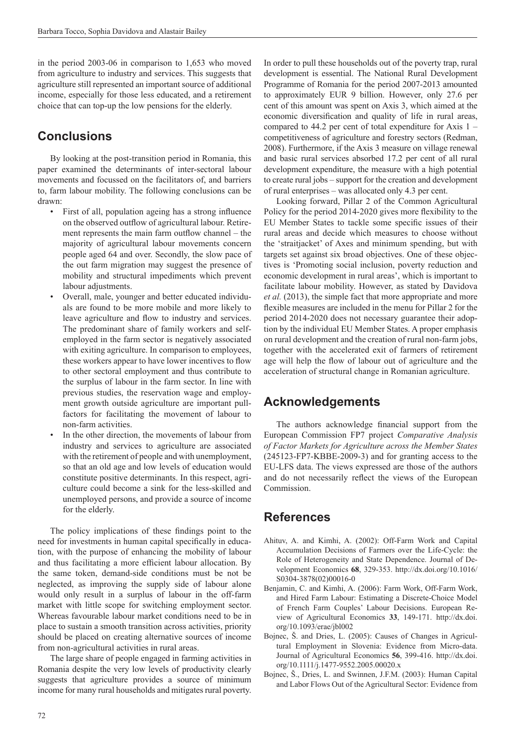in the period 2003-06 in comparison to 1,653 who moved from agriculture to industry and services. This suggests that agriculture still represented an important source of additional income, especially for those less educated, and a retirement choice that can top-up the low pensions for the elderly.

## **Conclusions**

By looking at the post-transition period in Romania, this paper examined the determinants of inter-sectoral labour movements and focussed on the facilitators of, and barriers to, farm labour mobility. The following conclusions can be drawn:

- First of all, population ageing has a strong influence on the observed outflow of agricultural labour. Retirement represents the main farm outflow channel  $-$  the majority of agricultural labour movements concern people aged 64 and over. Secondly, the slow pace of the out farm migration may suggest the presence of mobility and structural impediments which prevent labour adjustments.
- Overall, male, younger and better educated individuals are found to be more mobile and more likely to leave agriculture and flow to industry and services. The predominant share of family workers and selfemployed in the farm sector is negatively associated with exiting agriculture. In comparison to employees, these workers appear to have lower incentives to flow to other sectoral employment and thus contribute to the surplus of labour in the farm sector. In line with previous studies, the reservation wage and employment growth outside agriculture are important pullfactors for facilitating the movement of labour to non-farm activities.
- In the other direction, the movements of labour from industry and services to agriculture are associated with the retirement of people and with unemployment, so that an old age and low levels of education would constitute positive determinants. In this respect, agriculture could become a sink for the less-skilled and unemployed persons, and provide a source of income for the elderly.

The policy implications of these findings point to the need for investments in human capital specifically in education, with the purpose of enhancing the mobility of labour and thus facilitating a more efficient labour allocation. By the same token, demand-side conditions must be not be neglected, as improving the supply side of labour alone would only result in a surplus of labour in the off-farm market with little scope for switching employment sector. Whereas favourable labour market conditions need to be in place to sustain a smooth transition across activities, priority should be placed on creating alternative sources of income from non-agricultural activities in rural areas.

The large share of people engaged in farming activities in Romania despite the very low levels of productivity clearly suggests that agriculture provides a source of minimum income for many rural households and mitigates rural poverty.

In order to pull these households out of the poverty trap, rural development is essential. The National Rural Development Programme of Romania for the period 2007-2013 amounted to approximately EUR 9 billion. However, only 27.6 per cent of this amount was spent on Axis 3, which aimed at the economic diversification and quality of life in rural areas, compared to 44.2 per cent of total expenditure for Axis 1 – competitiveness of agriculture and forestry sectors (Redman, 2008). Furthermore, if the Axis 3 measure on village renewal and basic rural services absorbed 17.2 per cent of all rural development expenditure, the measure with a high potential to create rural jobs – support for the creation and development of rural enterprises – was allocated only 4.3 per cent.

Looking forward, Pillar 2 of the Common Agricultural Policy for the period 2014-2020 gives more flexibility to the EU Member States to tackle some specific issues of their rural areas and decide which measures to choose without the 'straitjacket' of Axes and minimum spending, but with targets set against six broad objectives. One of these objectives is 'Promoting social inclusion, poverty reduction and economic development in rural areas', which is important to facilitate labour mobility. However, as stated by Davidova *et al.* (2013), the simple fact that more appropriate and more flexible measures are included in the menu for Pillar 2 for the period 2014-2020 does not necessary guarantee their adoption by the individual EU Member States. A proper emphasis on rural development and the creation of rural non-farm jobs, together with the accelerated exit of farmers of retirement age will help the flow of labour out of agriculture and the acceleration of structural change in Romanian agriculture.

## **Acknowledgements**

The authors acknowledge financial support from the European Commission FP7 project *Comparative Analysis of Factor Markets for Agriculture across the Member States* (245123-FP7-KBBE-2009-3) and for granting access to the EU-LFS data. The views expressed are those of the authors and do not necessarily reflect the views of the European **Commission** 

## **References**

- Ahituv, A. and Kimhi, A. (2002): Off-Farm Work and Capital Accumulation Decisions of Farmers over the Life-Cycle: the Role of Heterogeneity and State Dependence. Journal of Development Economics **68**, 329-353. http://dx.doi.org/10.1016/ S0304-3878(02)00016-0
- Benjamin, C. and Kimhi, A. (2006): Farm Work, Off-Farm Work, and Hired Farm Labour: Estimating a Discrete-Choice Model of French Farm Couples' Labour Decisions. European Review of Agricultural Economics **33**, 149-171. http://dx.doi. org/10.1093/erae/jbl002
- Bojnec, Š. and Dries, L. (2005): Causes of Changes in Agricultural Employment in Slovenia: Evidence from Micro-data. Journal of Agricultural Economics **56**, 399-416. http://dx.doi. org/10.1111/j.1477-9552.2005.00020.x
- Bojnec, Š., Dries, L. and Swinnen, J.F.M. (2003): Human Capital and Labor Flows Out of the Agricultural Sector: Evidence from